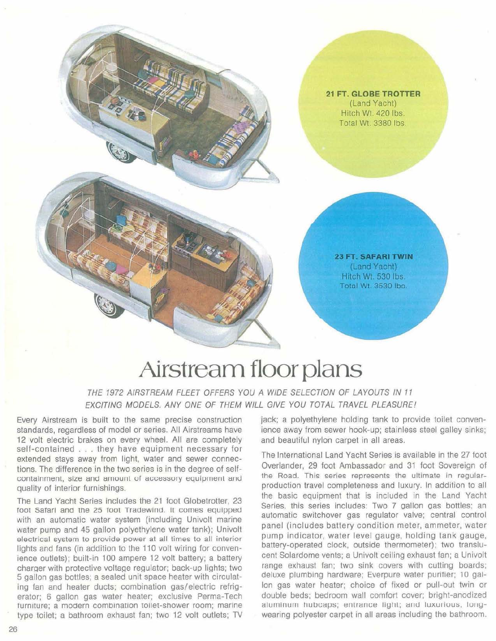

**23 FT. SAFARI TWIN** (Land Yacht) Hitch Wt. 530 lbs. Total Wt. 3530 lbs.

## **Airstream floor plans**

THE 1972 AIRSTREAM FLEET OFFERS YOU A WIDE SELECTION OF LAYOUTS IN 11 EXCITING MODELS. ANY ONE OF THEM WILL GIVE YOU TOTAL TRAVEL PLEASUREI

Every Airstream is built to the same precise construction standards, regardless of model or series. All Airstreams have 12 volt electric brakes on every wheel. All are completely self-contained . . . they have equipment necessary for extended stays away from light, water and sewer connections. The difference in the two series is in the degree of selfcontainment, size and amount of accessory equipment and quality of interior furnishings.

The Land Yacht Series includes the 21 foot Globetrotter, 23 foot Safarl and the 25 foot Tradewind. It comes equipped with an automatic water system (including Univolt marine water pump and 45 gallon polyethylene water tank); Univolt electrical system to provide power at all times to all interior lights and fans (in addition to the 110 volt wiring for convenience outlets); built-in 100 ampere 12 volt battery; a battery charqer with protective voltage regulator; back-up lights; two 5 gallon gas bottles; a sealed unit space heater with circulating fan and heater ducts; combination gas/electric refrigerator; 6 gallon gas water heater; exclusive Perma-Tech turniture; a modern combination toilet-shower room; marine type toilet; a bathroom exhaust fan; two 12 volt outlets; TV

jack; a polyethylene holding tank to provide toilet convenience away from sewer hook-up; stainless steel galley sinks; and beautiful nylon carpet in all areas.

The International Land Yacht Series is available in the 27 foot Overlander, 29 foot Ambassador and 31 foot Sovereign of the Road. This series represents the ultimate in regularproduction travel completeness and luxury. In addition to all the basic equipment that is included in the Land Yacht Series. this series includes: Two 7 gallon gas bottles: an automatic switchover gas regulator valve; central control panel (includes battery condition meter, ammeter, water pump indicator, water level gauge, holding tank gauge, battery-operated clock, outside thermometer); two translucent Solardome vents; a Univolt ceiling exhaust fan; a Univolt range exhaust fan; two sink covers with cutting boards; deluxe plumbing hardware; Everpure water purifier; 10 gal-Ion gas water heater; choice of fixed or pull-out twin or double beds; bedroom wall comfort cover; bright-anodized aluminum hubcaps; entrance light; and luxurious, longwearing polyester carpet in all areas including the bathroom.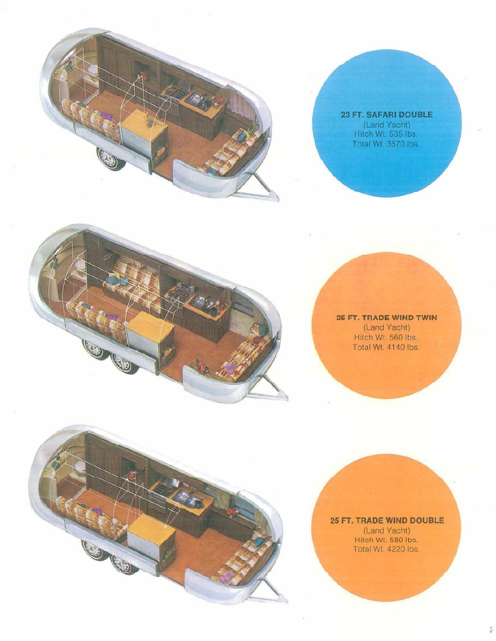

**23 FT. SAFARI DOUBLE** (Land Yacht)<br>Hitch Wt. 535 lbs. Total Wt. 3570 lbs.

## 

3

 $\mathbb{R}$ 

**26 FT. TRADE WIND TWIN** (Land Yacht) Hitch Wt. 560 Ibs. Total Wt. 4140 Ibs.

**25 FT. TRADE WIND DOUBLE** (Land Yacht) Hitoh Wt. 580 Ibo. Total Wt. 4220 lbs.

É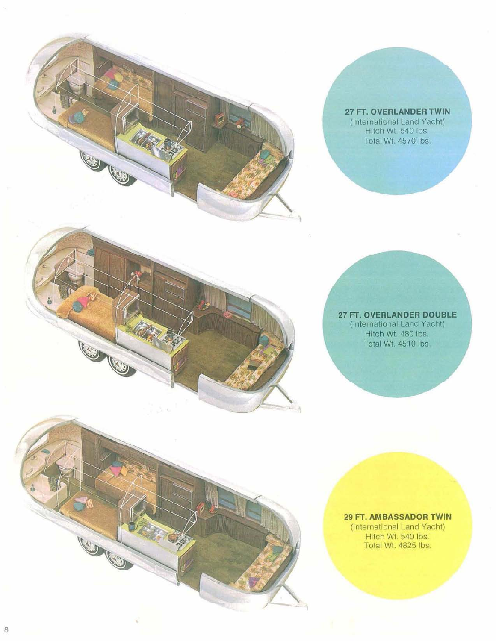

O

**CONSTRUCTION** 

**ASSIS** 

**27 FT. OVERLANDER TWIN** (International Land Yacht) Hitch Wt. 540 Ibs Total Wt. 4570 Ibs.

**27 FT. OVERLANDER DOUBLE** (International Land Yacht) Hitch WI. 480 Ibs. Total Wt. 4510 Ibs.

**29 FT. AMBASSADOR TWIN** (International Land Yacht) Hitch Wt. 540 Ibs. Total Wt. 4825 Ibs.